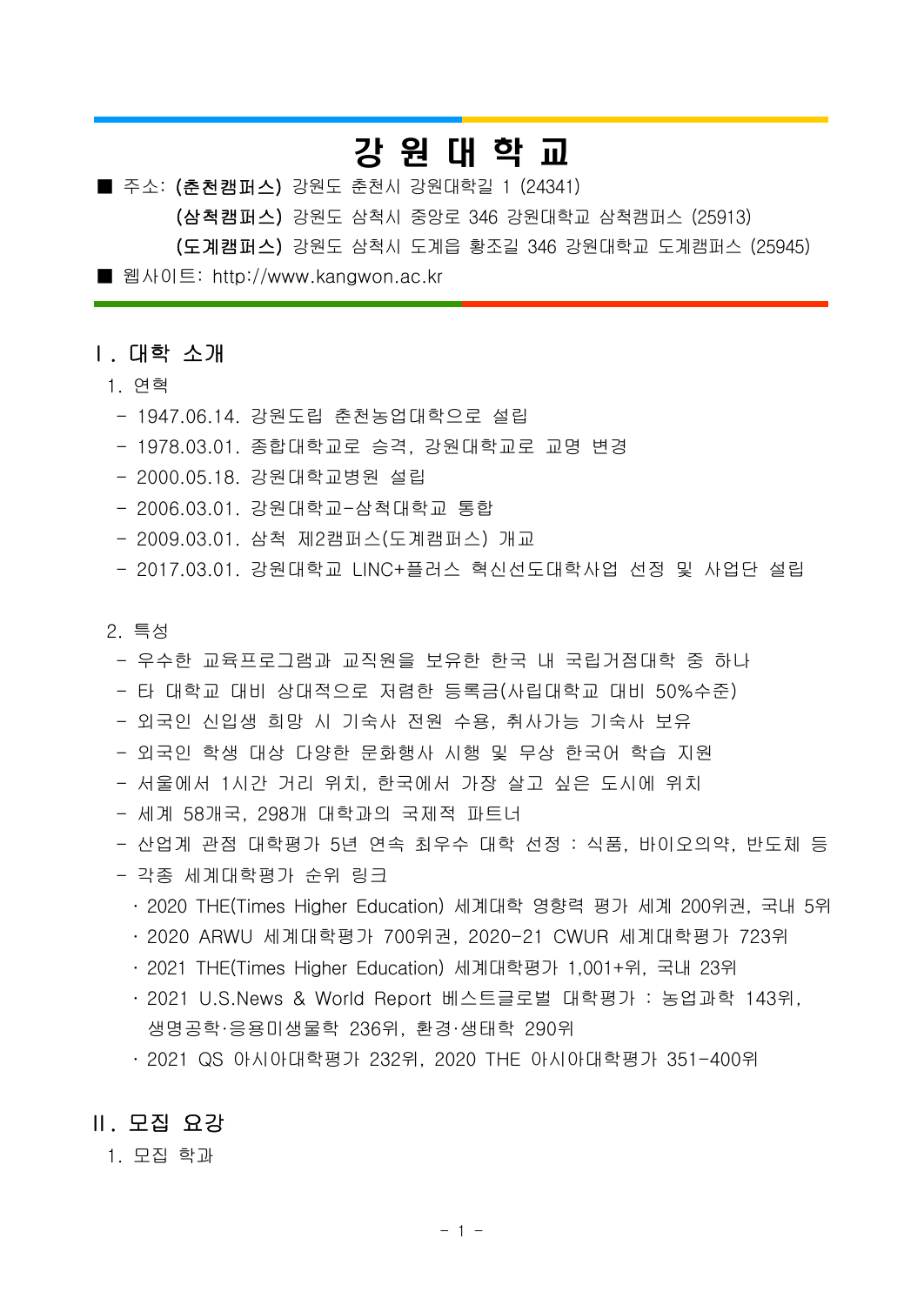# 강 원 대 학 교

■ 주소: (춘천캠퍼스) 강원도 춘천시 강원대학길 1 (24341)

(삼척캠퍼스) 강원도 삼척시 중앙로 346 강원대학교 삼척캠퍼스 (25913)

(도계캠퍼스) [강원도 삼척시 도계](http://www.kangwon.ac.kr)읍 황조길 346 강원대학교 도계캠퍼스 (25945)

■ 웹사이트: http://www.kangwon.ac.kr

### Ⅰ. 대학 소개

#### 1. 연혁

- 1947.06.14. 강원도립 춘천농업대학으로 설립
- 1978.03.01. 종합대학교로 승격, 강원대학교로 교명 변경
- 2000.05.18. 강원대학교병원 설립
- 2006.03.01. 강원대학교-삼척대학교 통합
- 2009.03.01. 삼척 제2캠퍼스(도계캠퍼스) 개교
- 2017.03.01. 강원대학교 LINC+플러스 혁신선도대학사업 선정 및 사업단 설립

#### 2. 특성

- 우수한 교육프로그램과 교직원을 보유한 한국 내 국립거점대학 중 하나
- 타 대학교 대비 상대적으로 저렴한 등록금(사립대학교 대비 50%수준)
- 외국인 신입생 희망 시 기숙사 전원 수용, 취사가능 기숙사 보유
- 외국인 학생 대상 다양한 문화행사 시행 및 무상 한국어 학습 지원
- 서울에서 1시간 거리 위치, 한국에서 가장 살고 싶은 도시에 위치
- 세계 58개국, 298개 대학과의 국제적 파트너
- 산업계 관점 대학평가 5년 연속 최우수 대학 선정 : 식품, 바이오의약, 반도체 등
- 각종 세계대학평가 순위 링크
	- ․ 2020 THE(Times Higher Education) 세계대학 영향력 평가 세계 200위권, 국내 5위
	- ․ 2020 ARWU 세계대학평가 700위권, 2020-21 CWUR 세계대학평가 723위
	- ․ 2021 THE(Times Higher Education) 세계대학평가 1,001+위, 국내 23위
	- ․ 2021 U.S.News & World Report 베스트글로벌 대학평가 : 농업과학 143위, 생명공학·응용미생물학 236위, 환경·생태학 290위
	- ․ 2021 QS 아시아대학평가 232위, 2020 THE 아시아대학평가 351-400위

## Ⅱ. 모집 요강

1. 모집 학과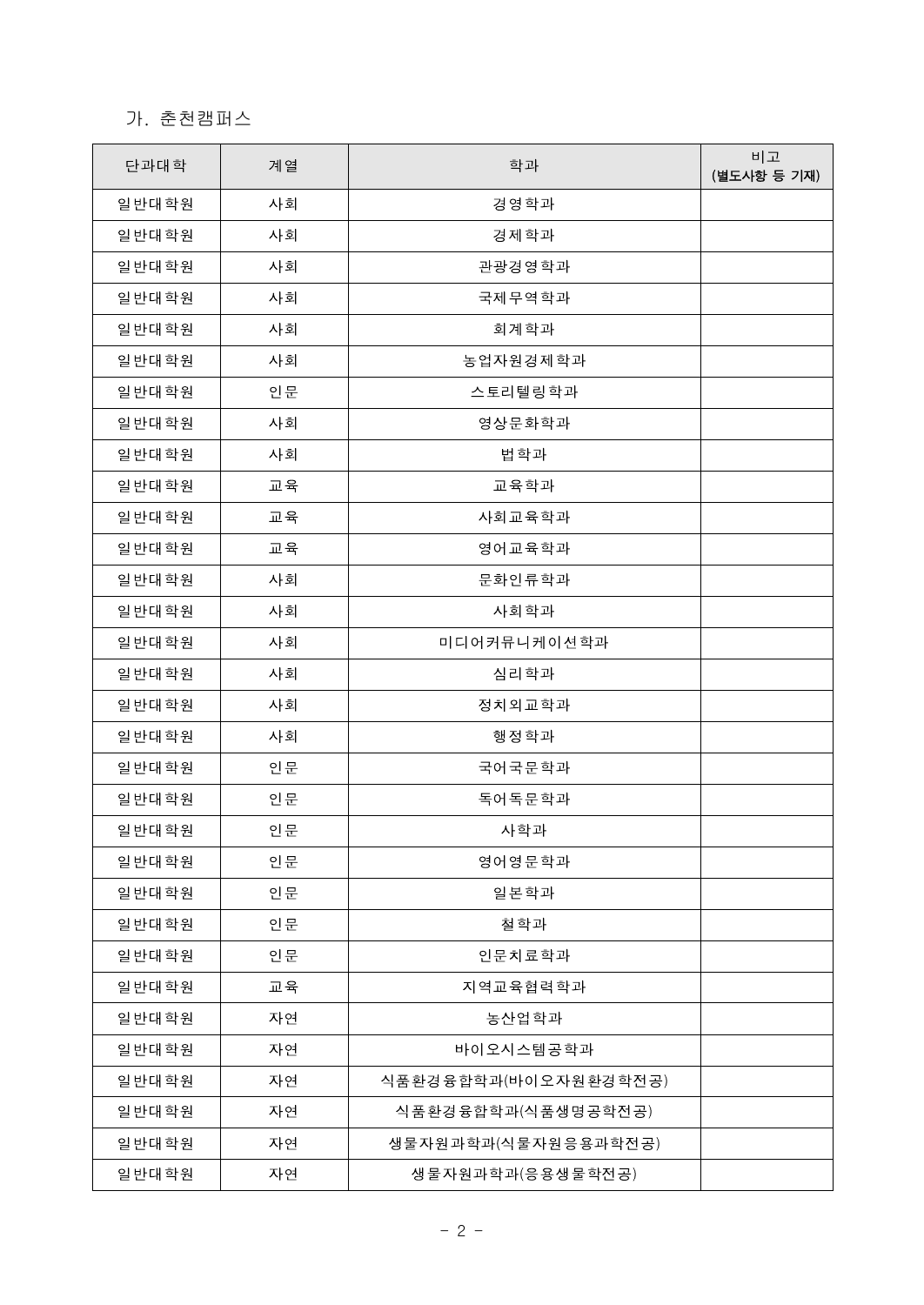# 가. 춘천캠퍼스

| 단과대학  | 계열 | 학과                   | 비고<br>(별도사항 등 기재) |
|-------|----|----------------------|-------------------|
| 일반대학원 | 사회 | 경영학과                 |                   |
| 일반대학원 | 사회 | 경제학과                 |                   |
| 일반대학원 | 사회 | 관광경영학과               |                   |
| 일반대학원 | 사회 | 국제무역학과               |                   |
| 일반대학원 | 사회 | 회계학과                 |                   |
| 일반대학원 | 사회 | 농업자원경제학과             |                   |
| 일반대학원 | 인문 | 스토리텔링학과              |                   |
| 일반대학원 | 사회 | 영상문화학과               |                   |
| 일반대학원 | 사회 | 법학과                  |                   |
| 일반대학원 | 교육 | 교육학과                 |                   |
| 일반대학원 | 교육 | 사회교육학과               |                   |
| 일반대학원 | 교육 | 영어교육학과               |                   |
| 일반대학원 | 사회 | 문화인류학과               |                   |
| 일반대학원 | 사회 | 사회학과                 |                   |
| 일반대학원 | 사회 | 미디어커뮤니케이션학과          |                   |
| 일반대학원 | 사회 | 심리학과                 |                   |
| 일반대학원 | 사회 | 정치외교학과               |                   |
| 일반대학원 | 사회 | 행정학과                 |                   |
| 일반대학원 | 인문 | 국어국문학과               |                   |
| 일반대학원 | 인문 | 독어독문학과               |                   |
| 일반대학원 | 인문 | 사학과                  |                   |
| 일반대학원 | 인문 | 영어영문학과               |                   |
| 일반대학원 | 인문 | 일본학과                 |                   |
| 일반대학원 | 인문 | 철학과                  |                   |
| 일반대학원 | 인문 | 인문치료학과               |                   |
| 일반대학원 | 교육 | 지역교육협력학과             |                   |
| 일반대학원 | 자연 | 농산업학과                |                   |
| 일반대학원 | 자연 | 바이오시스템공학과            |                   |
| 일반대학원 | 자연 | 식품환경융합학과(바이오자원환경학전공) |                   |
| 일반대학원 | 자연 | 식품환경융합학과(식품생명공학전공)   |                   |
| 일반대학원 | 자연 | 생물자원과학과(식물자원응용과학전공)  |                   |
| 일반대학원 | 자연 | 생물자원과학과(응용생물학전공)     |                   |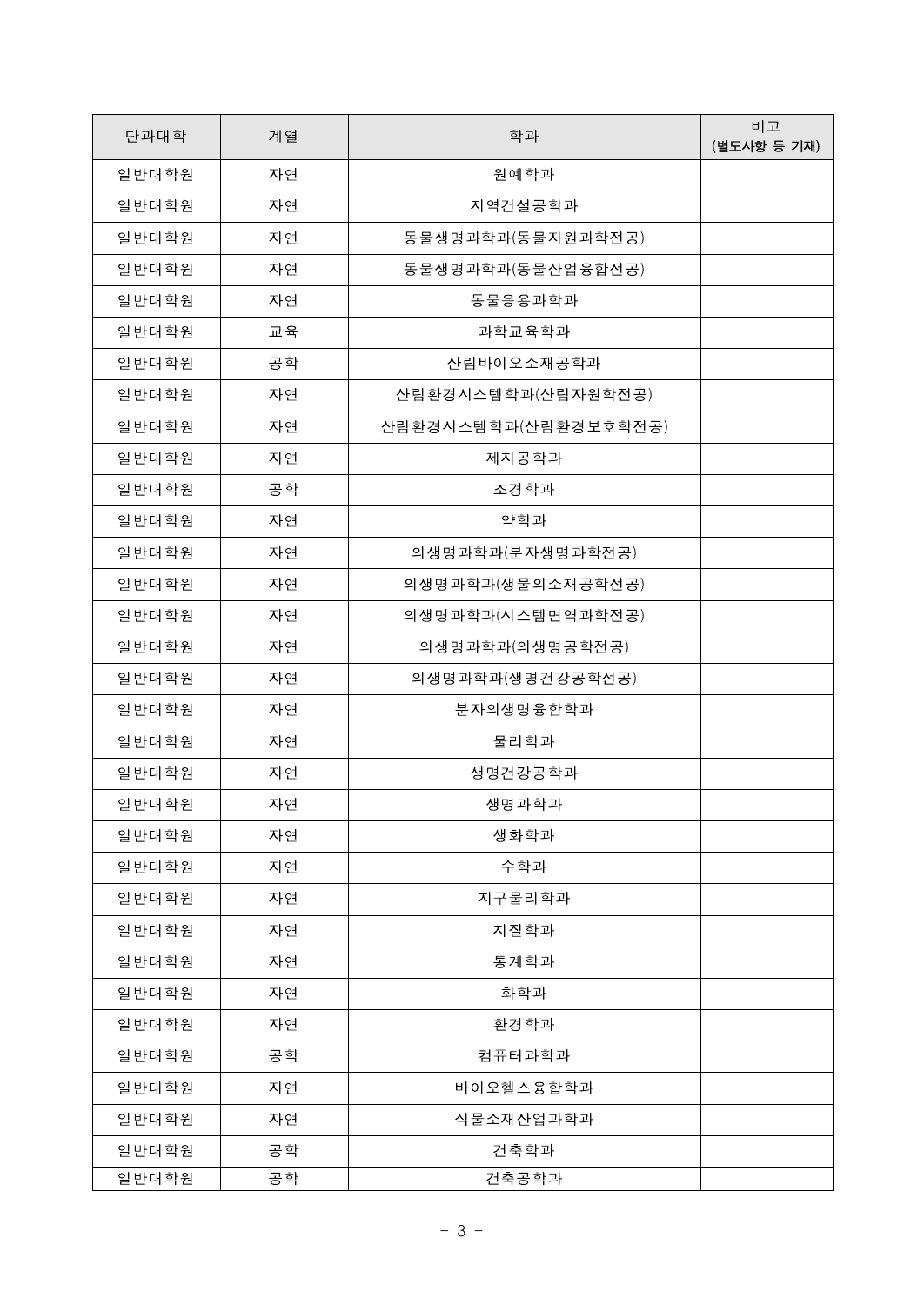| 단과대학  | 계열 | 학과                   | 비고<br>(별도사항 등 기재) |
|-------|----|----------------------|-------------------|
| 일반대학원 | 자연 | 원예학과                 |                   |
| 일반대학원 | 자연 | 지역건설공학과              |                   |
| 일반대학원 | 자연 | 동물생명과학과(동물자원과학전공)    |                   |
| 일반대학원 | 자연 | 동물생명과학과(동물산업융합전공)    |                   |
| 일반대학원 | 자연 | 동물응용과학과              |                   |
| 일반대학원 | 교육 | 과학교육학과               |                   |
| 일반대학원 | 공학 | 산림바이오소재공학과           |                   |
| 일반대학원 | 자연 | 산림환경시스템학과(산림자원학전공)   |                   |
| 일반대학원 | 자연 | 산림환경시스템학과(산림환경보호학전공) |                   |
| 일반대학원 | 자연 | 제지공학과                |                   |
| 일반대학원 | 공학 | 조경학과                 |                   |
| 일반대학원 | 자연 | 약학과                  |                   |
| 일반대학원 | 자연 | 의생명과학과(분자생명과학전공)     |                   |
| 일반대학원 | 자연 | 의생명과학과(생물의소재공학전공)    |                   |
| 일반대학원 | 자연 | 의생명과학과(시스템면역과학전공)    |                   |
| 일반대학원 | 자연 | 의생명과학과(의생명공학전공)      |                   |
| 일반대학원 | 자연 | 의생명과학과(생명건강공학전공)     |                   |
| 일반대학원 | 자연 | 분자의생명융합학과            |                   |
| 일반대학원 | 자연 | 물리학과                 |                   |
| 일반대학원 | 자연 | 생명건강공학과              |                   |
| 일반대학원 | 자연 | 생명과학과                |                   |
| 일반대학원 | 자연 | 생화학과                 |                   |
| 일반대학원 | 자연 | 수학과                  |                   |
| 일반대학원 | 자연 | 지구물리학과               |                   |
| 일반대학원 | 자연 | 지질학과                 |                   |
| 일반대학원 | 자연 | 통계학과                 |                   |
| 일반대학원 | 자연 | 화학과                  |                   |
| 일반대학원 | 자연 | 환경학과                 |                   |
| 일반대학원 | 공학 | 컴퓨터과학과               |                   |
| 일반대학원 | 자연 | 바이오헬스융합학과            |                   |
| 일반대학원 | 자연 | 식물소재산업과학과            |                   |
| 일반대학원 | 공학 | 건축학과                 |                   |
| 일반대학원 | 공학 | 건축공학과                |                   |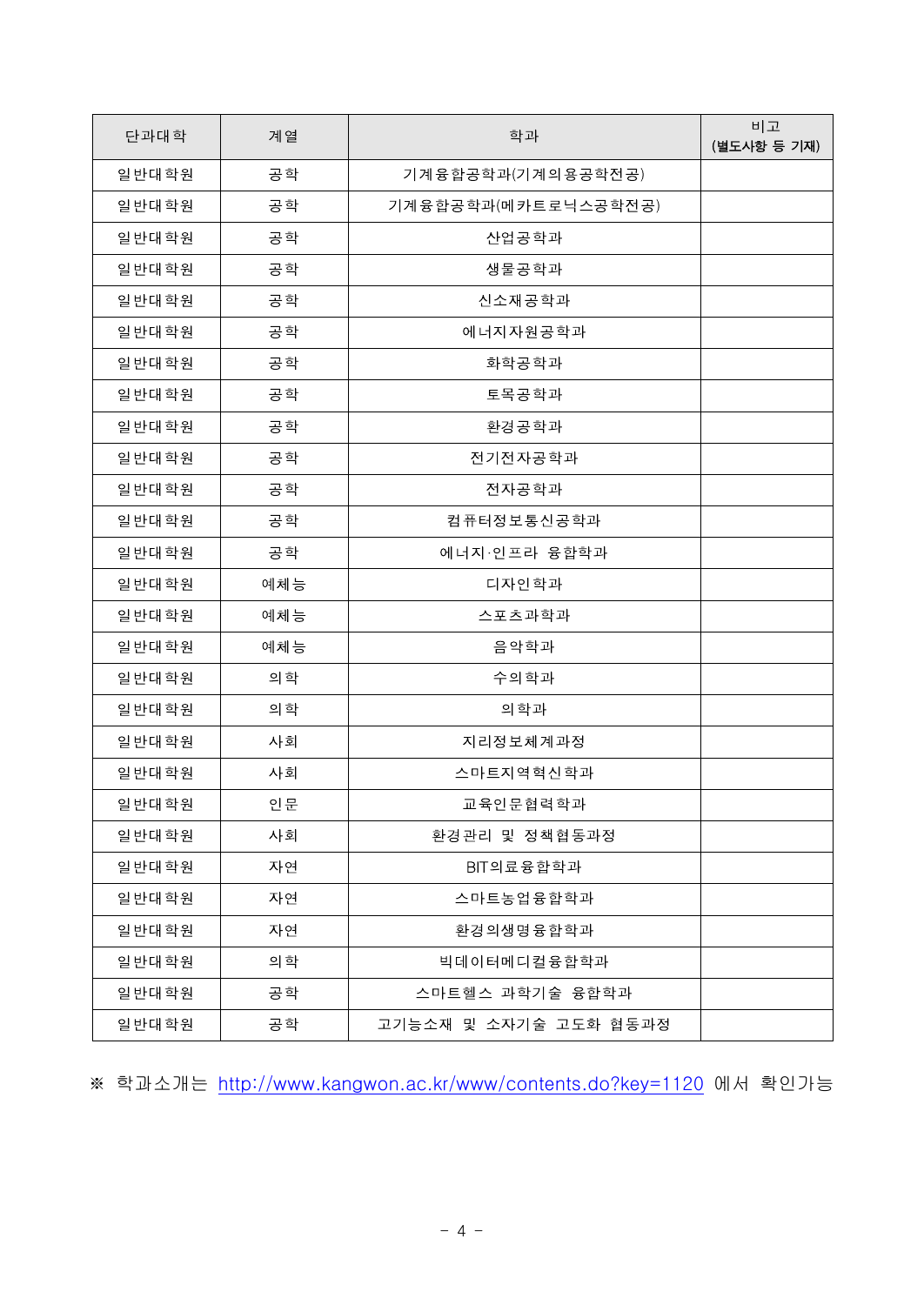| 단과대학    | 계열  | 학과                    | 비고<br>(별도사항 등 기재) |
|---------|-----|-----------------------|-------------------|
| 일반대학원   | 공학  | 기계융합공학과(기계의용공학전공)     |                   |
| 일반대학원   | 공학  | 기계융합공학과(메카트로닉스공학전공)   |                   |
| 일반대학원   | 공학  | 산업공학과                 |                   |
| 일반대학원   | 공학  | 생물공학과                 |                   |
| 일반대학원   | 공학  | 신소재공학과                |                   |
| 일반대학원   | 공학  | 에너지자원공학과              |                   |
| 일반대학원   | 공학  | 화학공학과                 |                   |
| 일반대학원   | 공학  | 토목공학과                 |                   |
| 일반대학원   | 공학  | 환경공학과                 |                   |
| 일반대학원   | 공학  | 전기전자공학과               |                   |
| 일반대학원   | 공학  | 전자공학과                 |                   |
| 일반대학원   | 공학  | 컴퓨터정보통신공학과            |                   |
| 일반대학원   | 공학  | 에너지·인프라 융합학과          |                   |
| 일반대학원   | 예체능 | 디자인학과                 |                   |
| 일반대학원   | 예체능 | 스포츠과학과                |                   |
| 일반대학원   | 예체능 | 음악학과                  |                   |
| 일반대학원   | 의학  | 수의학과                  |                   |
| 일반대학원   | 의학  | 의학과                   |                   |
| 일반대학원   | 사회  | 지리정보체계과정              |                   |
| 일반대학원   | 사회  | 스마트지역혁신학과             |                   |
| 일 바대 학원 | 인문  | 교육인문협력학과              |                   |
| 일반대학원   | 사회  | 환경관리 및 정책협동과정         |                   |
| 일반대학원   | 자연  | BIT의료융합학과             |                   |
| 일반대학원   | 자연  | 스마트농업융합학과             |                   |
| 일반대학원   | 자연  | 환경의생명융합학과             |                   |
| 일반대학원   | 의학  | <b>빅데이터메디컬융합학과</b>    |                   |
| 일반대학원   | 공학  | 스마트헬스 과학기술 융합학과       |                   |
| 일반대학원   | 공학  | 고기능소재 및 소자기술 고도화 협동과정 |                   |

※ 학과소개는 <http://www.kangwon.ac.kr/www/contents.do?key=1120> 에서 확인가능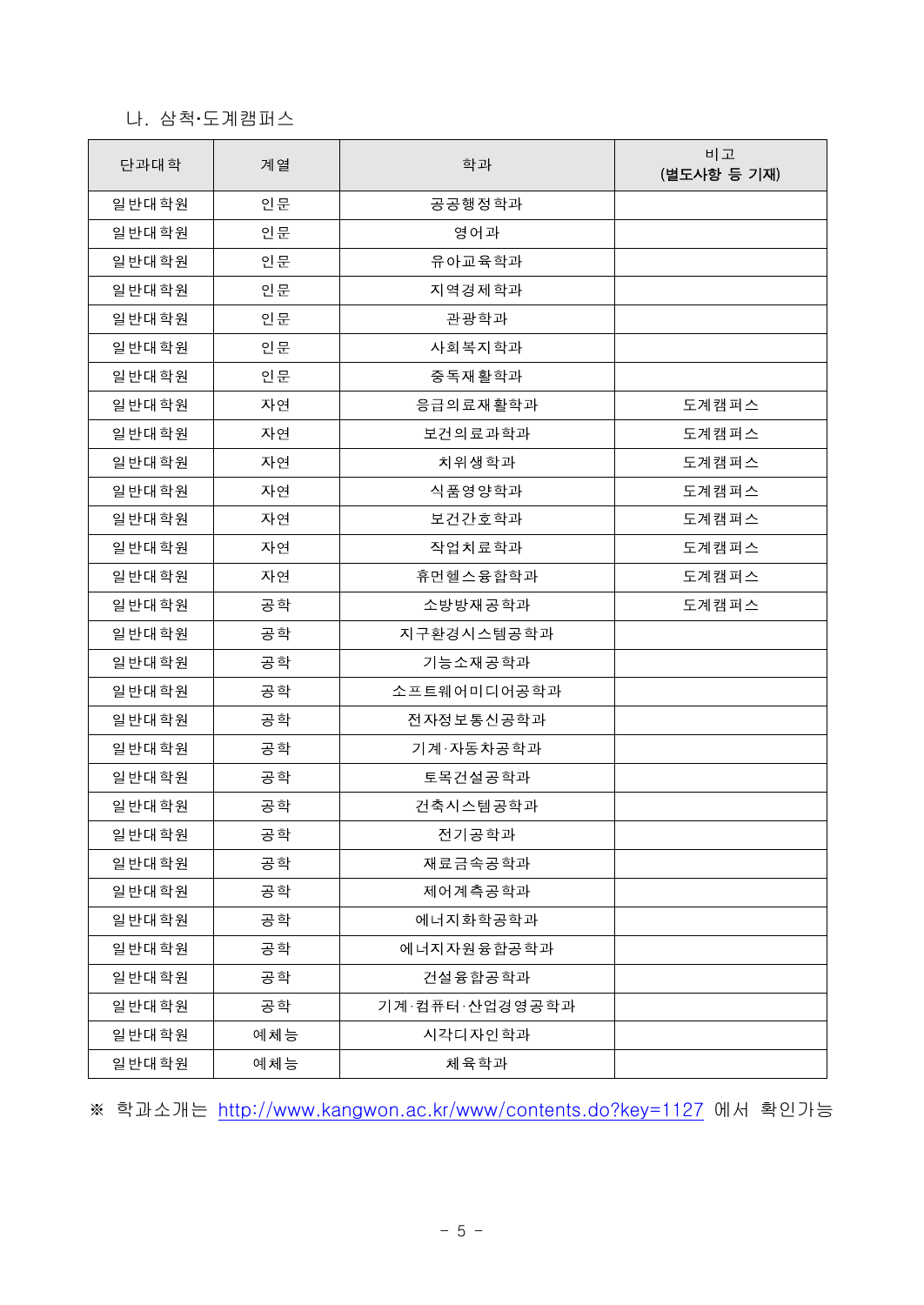# 나. 삼척‧도계캠퍼스

| 단과대학  | 계열  | 학과             | 비고<br>(별도사항 등 기재) |
|-------|-----|----------------|-------------------|
| 일반대학원 | 인문  | 공공행정학과         |                   |
| 일반대학원 | 인문  | 영어과            |                   |
| 일반대학원 | 인문  | 유아교육학과         |                   |
| 일반대학원 | 인문  | 지역경제학과         |                   |
| 일반대학원 | 인문  | 관광학과           |                   |
| 일반대학원 | 인문  | 사회복지학과         |                   |
| 일반대학원 | 인문  | 중독재활학과         |                   |
| 일반대학원 | 자연  | 응급의료재활학과       | 도계캠퍼스             |
| 일반대학원 | 자연  | 보건의료과학과        | 도계캠퍼스             |
| 일반대학원 | 자연  | 치위생학과          | 도계캠퍼스             |
| 일반대학원 | 자연  | 식품영양학과         | 도계캠퍼스             |
| 일반대학원 | 자연  | 보건간호학과         | 도계캠퍼스             |
| 일반대학원 | 자연  | 작업치료학과         | 도계캠퍼스             |
| 일반대학원 | 자연  | 휴먼헬스융합학과       | 도계캠퍼스             |
| 일반대학원 | 공학  | 소방방재공학과        | 도계캠퍼스             |
| 일반대학원 | 공학  | 지구환경시스템공학과     |                   |
| 일반대학원 | 공학  | 기능소재공학과        |                   |
| 일반대학원 | 공학  | 소프트웨어미디어공학과    |                   |
| 일반대학원 | 공학  | 전자정보통신공학과      |                   |
| 일반대학원 | 공학  | 기계·자동차공학과      |                   |
| 일반대학원 | 공학  | 토목건설공학과        |                   |
| 일반대학원 | 공학  | 건축시스템공학과       |                   |
| 일반대학원 | 공학  | 전기공학과          |                   |
| 일반대학원 | 공학  | 재료금속공학과        |                   |
| 일반대학원 | 공학  | 제어계측공학과        |                   |
| 일반대학원 | 공학  | 에너지화학공학과       |                   |
| 일반대학원 | 공학  | 에너지자원융합공학과     |                   |
| 일반대학원 | 공학  | 건설융합공학과        |                   |
| 일반대학원 | 공학  | 기계·컴퓨터·산업경영공학과 |                   |
| 일반대학원 | 예체능 | 시각디자인학과        |                   |
| 일반대학원 | 예체능 | 체육학과           |                   |

※ 학과소개는 <http://www.kangwon.ac.kr/www/contents.do?key=1127> 에서 확인가능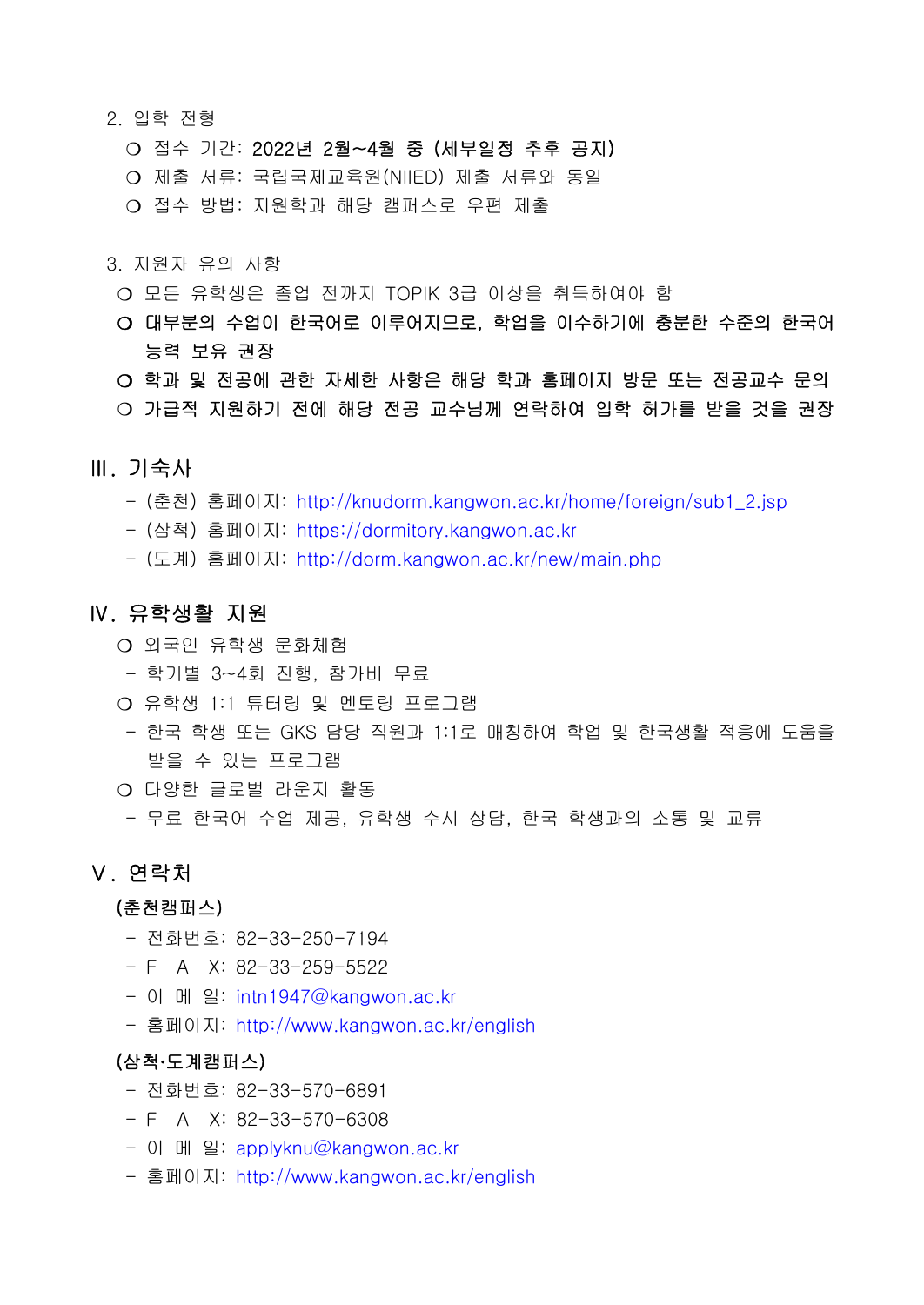- 2. 입학 전형
	- ❍ 접수 기간: 2022년 2월~4월 중 (세부일정 추후 공지)
	- ❍ 제출 서류: 국립국제교육원(NIIED) 제출 서류와 동일
	- ❍ 접수 방법: 지원학과 해당 캠퍼스로 우편 제출
- 3. 지원자 유의 사항
	- ❍ 모든 유학생은 졸업 전까지 TOPIK 3급 이상을 취득하여야 함
	- ❍ 대부분의 수업이 한국어로 이루어지므로, 학업을 이수하기에 충분한 수준의 한국어 능력 보유 권장
	- ❍ 학과 및 전공에 관한 자세한 사항은 해당 학과 홈페이지 방문 또는 전공교수 문의
	- ❍ 가급적 지원하기 전에 해당 전공 교수님께 연락하여 입학 허가를 받을 것을 권장

#### Ⅲ. 기숙사

- (춘천) 홈페이지: [http://knudorm.kangwon.ac.kr/home/foreign/sub1\\_2.jsp](http://knudorm.kangwon.ac.kr/home/foreign/sub1_2.jsp)
- (삼척) 홈페이지: <https://dormitory.kangwon.ac.kr>
- (도계) 홈페이지: <http://dorm.kangwon.ac.kr/new/main.php>

#### Ⅳ. 유학생활 지원

- ❍ 외국인 유학생 문화체험
- 학기별 3~4회 진행, 참가비 무료
- ❍ 유학생 1:1 튜터링 및 멘토링 프로그램
- 한국 학생 또는 GKS 담당 직원과 1:1로 매칭하여 학업 및 한국생활 적응에 도움을 받을 수 있는 프로그램
- ❍ 다양한 글로벌 라운지 활동
	- 무료 한국어 수업 제공, 유학생 수시 상담, 한국 학생과의 소통 및 교류

#### Ⅴ. 연락처

#### (춘천캠퍼스)

- 전화번호: 82-33-250-7194
- $F A X: 82-33-259-5522$
- 이 메 일: [intn1947@kangwon.ac.kr](mailto:enter@kangwon.ac.kr)
- 홈페이지: <http://www.kangwon.ac.kr/english>

#### (삼척‧도계캠퍼스)

- 전화번호: 82-33-570-6891
- $F A X: 82-33-570-6308$
- 이 메 일: [applyknu@kangwon.ac.kr](mailto:applyknu@kangwon.ac.kr)
- 홈페이지: <http://www.kangwon.ac.kr/english>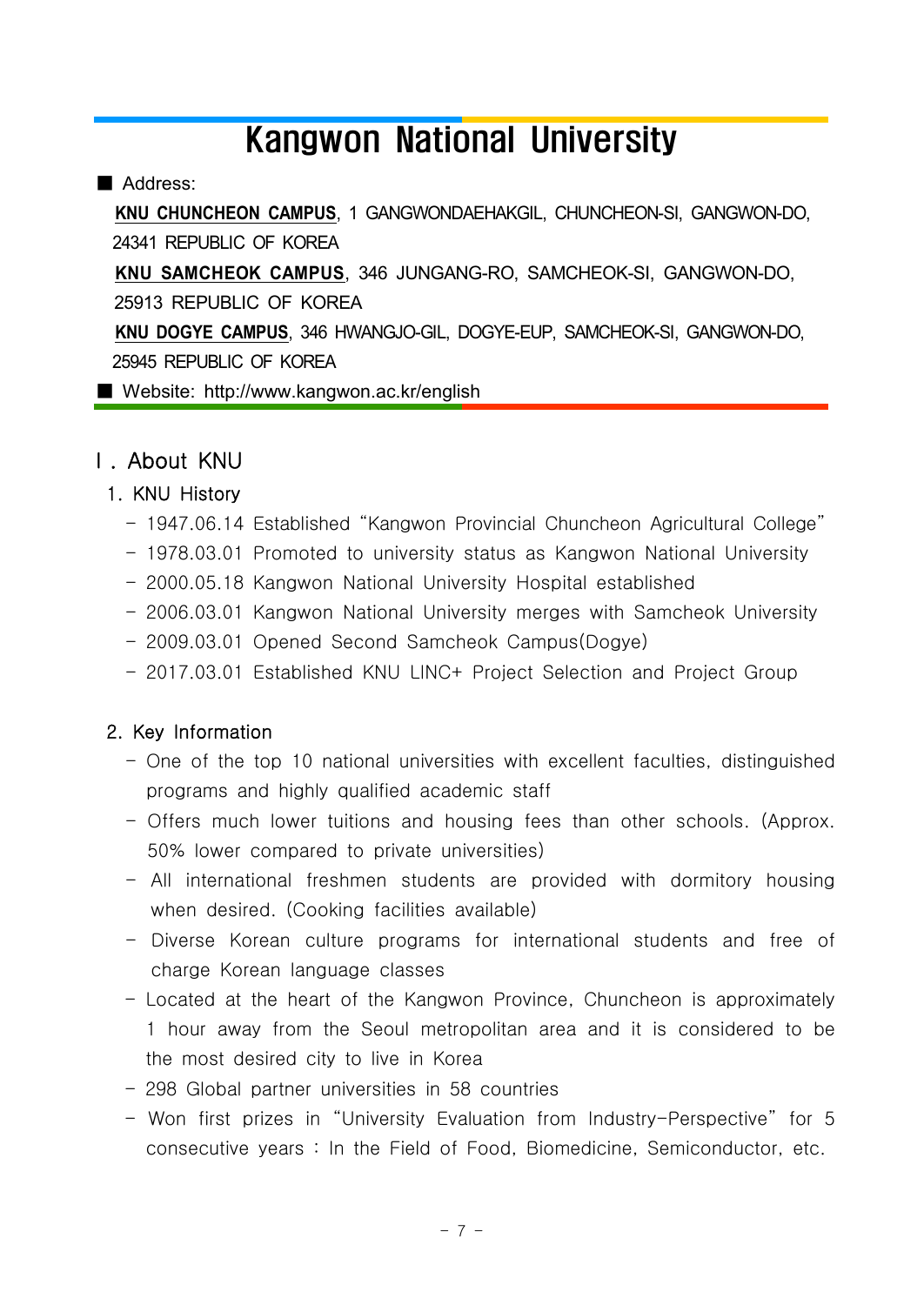# Kangwon National University

#### ■ Address:

 **KNU CHUNCHEON CAMPUS**, 1 GANGWONDAEHAKGIL, CHUNCHEON-SI, GANGWON-DO, 24341 REPUBLIC OF KOREA

**KNU SAMCHEOK CAMPUS**, 346 JUNGANG-RO, SAMCHEOK-SI, GANGWON-DO,

25913 REPUBLIC OF KOREA

 **KNU DOGYE CAMPUS**, 346 HWANGJO-GIL, DOGYE-EUP, SAMCHEOK-SI, GANGWON-DO, 25945 REPUBLIC OF KOREA

■ Website: http://www.kangwon.ac.kr/english

# Ⅰ. About KNU

#### 1. KNU History

- 1947.06.14 Established "Kangwon Provincial Chuncheon Agricultural College"
- 1978.03.01 Promoted to university status as Kangwon National University
- 2000.05.18 Kangwon National University Hospital established
- 2006.03.01 Kangwon National University merges with Samcheok University
- 2009.03.01 Opened Second Samcheok Campus(Dogye)
- 2017.03.01 Established KNU LINC+ Project Selection and Project Group

#### 2. Key Information

- One of the top 10 national universities with excellent faculties, distinguished programs and highly qualified academic staff
- Offers much lower tuitions and housing fees than other schools. (Approx. 50% lower compared to private universities)
- All international freshmen students are provided with dormitory housing when desired. (Cooking facilities available)
- Diverse Korean culture programs for international students and free of charge Korean language classes
- Located at the heart of the Kangwon Province, Chuncheon is approximately 1 hour away from the Seoul metropolitan area and it is considered to be the most desired city to live in Korea
- 298 Global partner universities in 58 countries
- Won first prizes in "University Evaluation from Industry-Perspective" for 5 consecutive years : In the Field of Food, Biomedicine, Semiconductor, etc.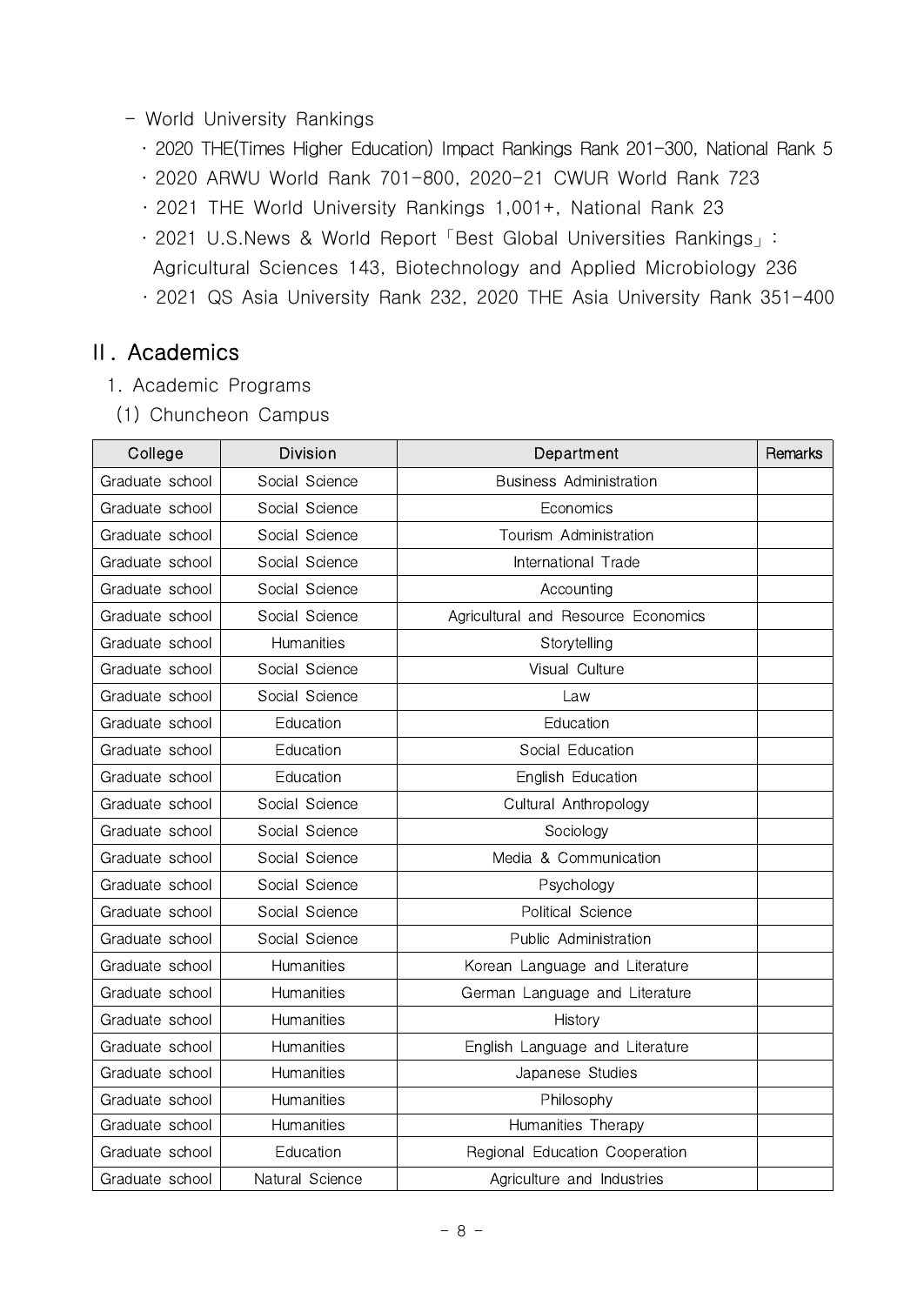- World University Rankings
	- ․ 2020 THE(Times Higher Education) Impact Rankings Rank 201-300, National Rank 5
	- ․ 2020 ARWU World Rank 701-800, 2020-21 CWUR World Rank 723
	- ․ 2021 THE World University Rankings 1,001+, National Rank 23
	- ․ 2021 U.S.News & World Report「Best Global Universities Rankings」:
	- Agricultural Sciences 143, Biotechnology and Applied Microbiology 236
	- ․ 2021 QS Asia University Rank 232, 2020 THE Asia University Rank 351-400

# Ⅱ. Academics

- 1. Academic Programs
- (1) Chuncheon Campus

| College         | <b>Division</b>   | Department                          | Remarks |
|-----------------|-------------------|-------------------------------------|---------|
| Graduate school | Social Science    | <b>Business Administration</b>      |         |
| Graduate school | Social Science    | Economics                           |         |
| Graduate school | Social Science    | Tourism Administration              |         |
| Graduate school | Social Science    | International Trade                 |         |
| Graduate school | Social Science    | Accounting                          |         |
| Graduate school | Social Science    | Agricultural and Resource Economics |         |
| Graduate school | <b>Humanities</b> | Storytelling                        |         |
| Graduate school | Social Science    | Visual Culture                      |         |
| Graduate school | Social Science    | Law                                 |         |
| Graduate school | Education         | Education                           |         |
| Graduate school | Education         | Social Education                    |         |
| Graduate school | Education         | English Education                   |         |
| Graduate school | Social Science    | Cultural Anthropology               |         |
| Graduate school | Social Science    | Sociology                           |         |
| Graduate school | Social Science    | Media & Communication               |         |
| Graduate school | Social Science    | Psychology                          |         |
| Graduate school | Social Science    | Political Science                   |         |
| Graduate school | Social Science    | Public Administration               |         |
| Graduate school | Humanities        | Korean Language and Literature      |         |
| Graduate school | Humanities        | German Language and Literature      |         |
| Graduate school | Humanities        | History                             |         |
| Graduate school | <b>Humanities</b> | English Language and Literature     |         |
| Graduate school | Humanities        | Japanese Studies                    |         |
| Graduate school | <b>Humanities</b> | Philosophy                          |         |
| Graduate school | <b>Humanities</b> | Humanities Therapy                  |         |
| Graduate school | Education         | Regional Education Cooperation      |         |
| Graduate school | Natural Science   | Agriculture and Industries          |         |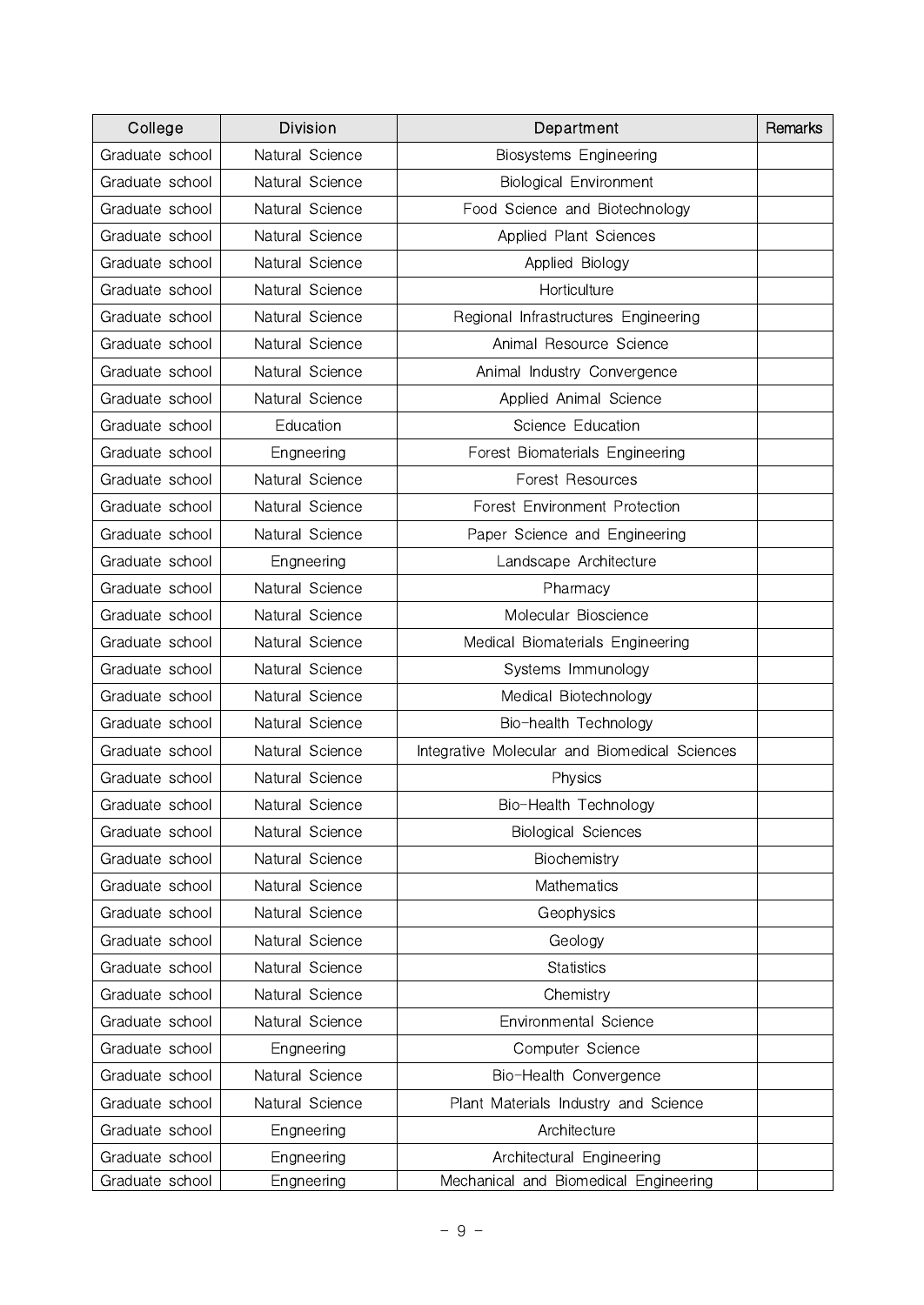| College         | <b>Division</b> | Department                                    | Remarks |
|-----------------|-----------------|-----------------------------------------------|---------|
| Graduate school | Natural Science | Biosystems Engineering                        |         |
| Graduate school | Natural Science | <b>Biological Environment</b>                 |         |
| Graduate school | Natural Science | Food Science and Biotechnology                |         |
| Graduate school | Natural Science | Applied Plant Sciences                        |         |
| Graduate school | Natural Science | Applied Biology                               |         |
| Graduate school | Natural Science | Horticulture                                  |         |
| Graduate school | Natural Science | Regional Infrastructures Engineering          |         |
| Graduate school | Natural Science | Animal Resource Science                       |         |
| Graduate school | Natural Science | Animal Industry Convergence                   |         |
| Graduate school | Natural Science | Applied Animal Science                        |         |
| Graduate school | Education       | Science Education                             |         |
| Graduate school | Engneering      | Forest Biomaterials Engineering               |         |
| Graduate school | Natural Science | Forest Resources                              |         |
| Graduate school | Natural Science | Forest Environment Protection                 |         |
| Graduate school | Natural Science | Paper Science and Engineering                 |         |
| Graduate school | Engneering      | Landscape Architecture                        |         |
| Graduate school | Natural Science | Pharmacy                                      |         |
| Graduate school | Natural Science | Molecular Bioscience                          |         |
| Graduate school | Natural Science | Medical Biomaterials Engineering              |         |
| Graduate school | Natural Science | Systems Immunology                            |         |
| Graduate school | Natural Science | Medical Biotechnology                         |         |
| Graduate school | Natural Science | Bio-health Technology                         |         |
| Graduate school | Natural Science | Integrative Molecular and Biomedical Sciences |         |
| Graduate school | Natural Science | Physics                                       |         |
| Graduate school | Natural Science | Bio-Health Technology                         |         |
| Graduate school | Natural Science | <b>Biological Sciences</b>                    |         |
| Graduate school | Natural Science | Biochemistry                                  |         |
| Graduate school | Natural Science | Mathematics                                   |         |
| Graduate school | Natural Science | Geophysics                                    |         |
| Graduate school | Natural Science | Geology                                       |         |
| Graduate school | Natural Science | <b>Statistics</b>                             |         |
| Graduate school | Natural Science | Chemistry                                     |         |
| Graduate school | Natural Science | Environmental Science                         |         |
| Graduate school | Engneering      | Computer Science                              |         |
| Graduate school | Natural Science | Bio-Health Convergence                        |         |
| Graduate school | Natural Science | Plant Materials Industry and Science          |         |
| Graduate school | Engneering      | Architecture                                  |         |
| Graduate school | Engneering      | Architectural Engineering                     |         |
| Graduate school | Engneering      | Mechanical and Biomedical Engineering         |         |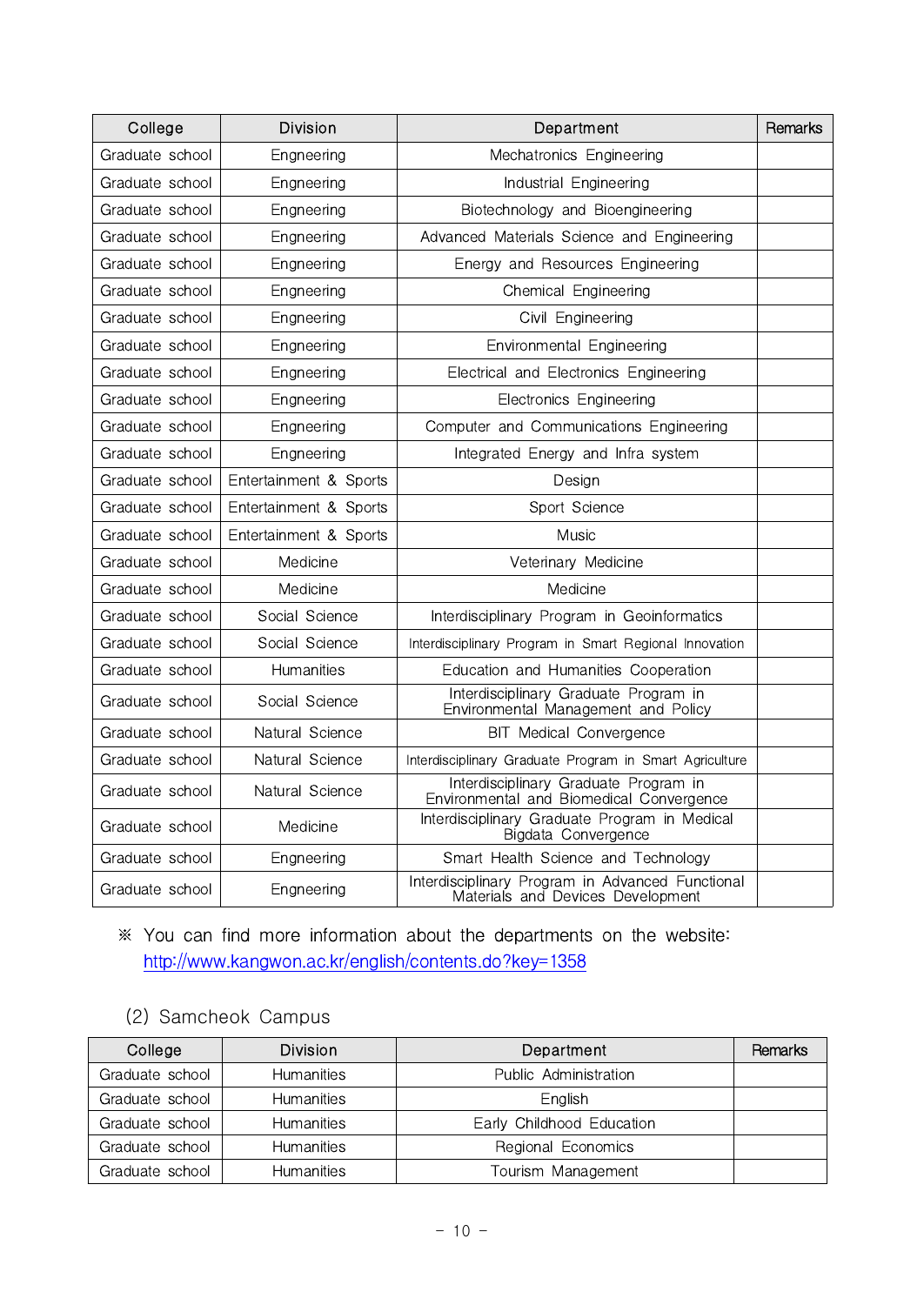| College         | <b>Division</b>        | Department                                                                            | Remarks |
|-----------------|------------------------|---------------------------------------------------------------------------------------|---------|
| Graduate school | Engneering             | Mechatronics Engineering                                                              |         |
| Graduate school | Engneering             | Industrial Engineering                                                                |         |
| Graduate school | Engneering             | Biotechnology and Bioengineering                                                      |         |
| Graduate school | Engneering             | Advanced Materials Science and Engineering                                            |         |
| Graduate school | Engneering             | Energy and Resources Engineering                                                      |         |
| Graduate school | Engneering             | Chemical Engineering                                                                  |         |
| Graduate school | Engneering             | Civil Engineering                                                                     |         |
| Graduate school | Engneering             | Environmental Engineering                                                             |         |
| Graduate school | Engneering             | Electrical and Electronics Engineering                                                |         |
| Graduate school | Engneering             | <b>Electronics Engineering</b>                                                        |         |
| Graduate school | Engneering             | Computer and Communications Engineering                                               |         |
| Graduate school | Engneering             | Integrated Energy and Infra system                                                    |         |
| Graduate school | Entertainment & Sports | Desian                                                                                |         |
| Graduate school | Entertainment & Sports | Sport Science                                                                         |         |
| Graduate school | Entertainment & Sports | Music                                                                                 |         |
| Graduate school | Medicine               | Veterinary Medicine                                                                   |         |
| Graduate school | Medicine               | Medicine                                                                              |         |
| Graduate school | Social Science         | Interdisciplinary Program in Geoinformatics                                           |         |
| Graduate school | Social Science         | Interdisciplinary Program in Smart Regional Innovation                                |         |
| Graduate school | Humanities             | Education and Humanities Cooperation                                                  |         |
| Graduate school | Social Science         | Interdisciplinary Graduate Program in<br>Environmental Management and Policy          |         |
| Graduate school | Natural Science        | <b>BIT Medical Convergence</b>                                                        |         |
| Graduate school | Natural Science        | Interdisciplinary Graduate Program in Smart Agriculture                               |         |
| Graduate school | Natural Science        | Interdisciplinary Graduate Program in<br>Environmental and Biomedical Convergence     |         |
| Graduate school | Medicine               | Interdisciplinary Graduate Program in Medical<br>Bigdata Convergence                  |         |
| Graduate school | Engneering             | Smart Health Science and Technology                                                   |         |
| Graduate school | Engneering             | Interdisciplinary Program in Advanced Functional<br>Materials and Devices Development |         |

# ※ You can find more information about the departments on the website: <http://www.kangwon.ac.kr/english/contents.do?key=1358>

# (2) Samcheok Campus

| College         | <b>Division</b>   | Department                | Remarks |
|-----------------|-------------------|---------------------------|---------|
| Graduate school | <b>Humanities</b> | Public Administration     |         |
| Graduate school | <b>Humanities</b> | English                   |         |
| Graduate school | <b>Humanities</b> | Early Childhood Education |         |
| Graduate school | <b>Humanities</b> | Regional Economics        |         |
| Graduate school | <b>Humanities</b> | Tourism Management        |         |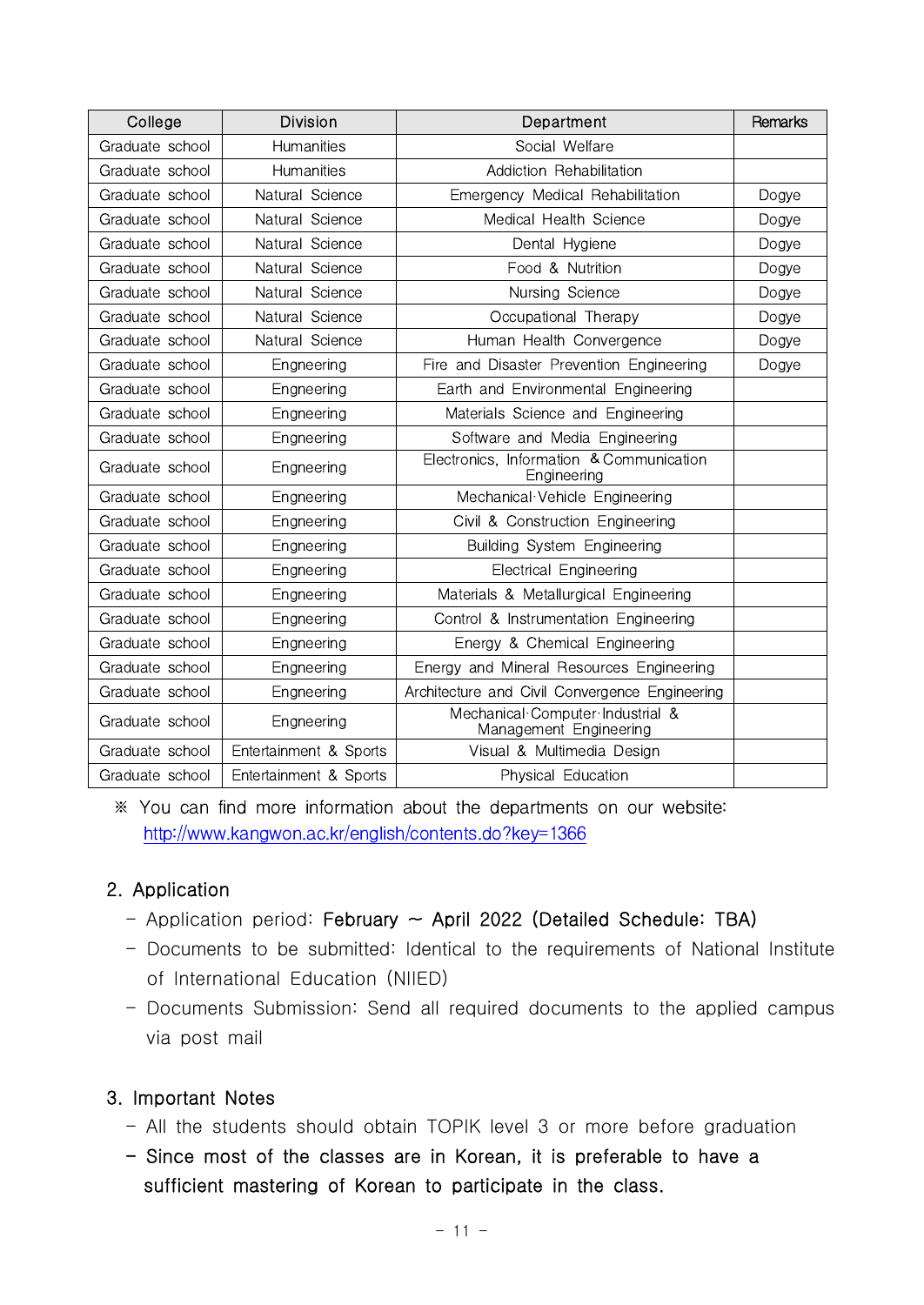| College         | <b>Division</b>        | Department                                                 | Remarks |
|-----------------|------------------------|------------------------------------------------------------|---------|
| Graduate school | <b>Humanities</b>      | Social Welfare                                             |         |
| Graduate school | <b>Humanities</b>      | Addiction Rehabilitation                                   |         |
| Graduate school | Natural Science        | Emergency Medical Rehabilitation                           | Dogye   |
| Graduate school | Natural Science        | Medical Health Science                                     | Dogye   |
| Graduate school | Natural Science        | Dental Hygiene                                             | Dogye   |
| Graduate school | Natural Science        | Food & Nutrition                                           | Dogye   |
| Graduate school | Natural Science        | Nursing Science                                            | Dogye   |
| Graduate school | Natural Science        | Occupational Therapy                                       | Dogye   |
| Graduate school | Natural Science        | Human Health Convergence                                   | Dogye   |
| Graduate school | Engneering             | Fire and Disaster Prevention Engineering                   | Dogye   |
| Graduate school | Engneering             | Earth and Environmental Engineering                        |         |
| Graduate school | Engneering             | Materials Science and Engineering                          |         |
| Graduate school | Engneering             | Software and Media Engineering                             |         |
| Graduate school | Engneering             | Electronics, Information & Communication<br>Engineering    |         |
| Graduate school | Engneering             | Mechanical Vehicle Engineering                             |         |
| Graduate school | Engneering             | Civil & Construction Engineering                           |         |
| Graduate school | Engneering             | Building System Engineering                                |         |
| Graduate school | Engneering             | <b>Electrical Engineering</b>                              |         |
| Graduate school | Engneering             | Materials & Metallurgical Engineering                      |         |
| Graduate school | Engneering             | Control & Instrumentation Engineering                      |         |
| Graduate school | Engneering             | Energy & Chemical Engineering                              |         |
| Graduate school | Engneering             | Energy and Mineral Resources Engineering                   |         |
| Graduate school | Engneering             | Architecture and Civil Convergence Engineering             |         |
| Graduate school | Engneering             | Mechanical Computer Industrial &<br>Management Engineering |         |
| Graduate school | Entertainment & Sports | Visual & Multimedia Design                                 |         |
| Graduate school | Entertainment & Sports | Physical Education                                         |         |

 ※ You can find more information about the departments on our website: <http://www.kangwon.ac.kr/english/contents.do?key=1366>

## 2. Application

- $-$  Application period: February  $\sim$  April 2022 (Detailed Schedule: TBA)
- Documents to be submitted: Identical to the requirements of National Institute of International Education (NIIED)
- Documents Submission: Send all required documents to the applied campus via post mail

#### 3. Important Notes

- All the students should obtain TOPIK level 3 or more before graduation
- Since most of the classes are in Korean, it is preferable to have a sufficient mastering of Korean to participate in the class.